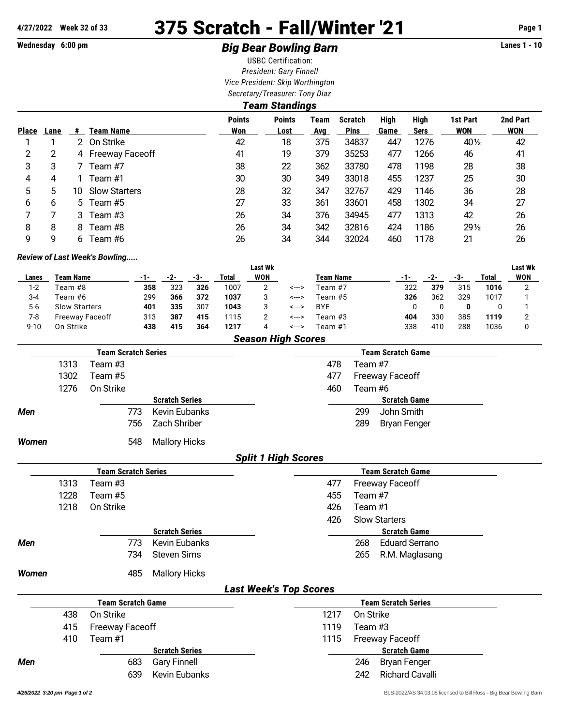# **4/27/2022 Week 32 of 33** 375 Scratch - Fall/Winter '21 **Page 1**

# **Wednesday 6:00 pm Big Bear Bowling Barn Lanes 1 - 10**

USBC Certification: *President: Gary Finnell Vice President: Skip Worthington Secretary/Treasurer: Tony Diaz*

|              | Team Standings |               |                      |                      |                       |                    |                               |              |                            |                        |                        |  |
|--------------|----------------|---------------|----------------------|----------------------|-----------------------|--------------------|-------------------------------|--------------|----------------------------|------------------------|------------------------|--|
| <b>Place</b> | Lane           | #             | Team Name            | <b>Points</b><br>Won | <b>Points</b><br>Lost | Team<br><b>Avg</b> | <b>Scratch</b><br><b>Pins</b> | High<br>Game | <b>High</b><br><b>Sers</b> | 1st Part<br><b>WON</b> | 2nd Part<br><b>WON</b> |  |
|              |                | $\mathcal{P}$ | On Strike            | 42                   | 18                    | 375                | 34837                         | 447          | 1276                       | 40 1/2                 | 42                     |  |
| 2            | 2              |               | 4 Freeway Faceoff    | 41                   | 19                    | 379                | 35253                         | 477          | 1266                       | 46                     | 41                     |  |
| 3            | 3              |               | Team #7              | 38                   | 22                    | 362                | 33780                         | 478          | 1198                       | 28                     | 38                     |  |
| 4            | 4              |               | Team #1              | 30                   | 30                    | 349                | 33018                         | 455          | 1237                       | 25                     | 30                     |  |
| 5            | 5              | 10            | <b>Slow Starters</b> | 28                   | 32                    | 347                | 32767                         | 429          | 1146                       | 36                     | 28                     |  |
| 6            | 6              |               | 5 Team #5            | 27                   | 33                    | 361                | 33601                         | 458          | 1302                       | 34                     | 27                     |  |
|              |                | 3             | Team #3              | 26                   | 34                    | 376                | 34945                         | 477          | 1313                       | 42                     | 26                     |  |
| 8            | 8              | 8             | Team #8              | 26                   | 34                    | 342                | 32816                         | 424          | 1186                       | $29\frac{1}{2}$        | 26                     |  |
| 9            | 9              | 6             | Team #6              | 26                   | 34                    | 344                | 32024                         | 460          | 1178                       | 21                     | 26                     |  |

#### *Review of Last Week's Bowling.....*

|          |                           |       |     |     |       | <b>Last Wk</b> |       |                  |     |     |     |       | <b>Last Wk</b> |
|----------|---------------------------|-------|-----|-----|-------|----------------|-------|------------------|-----|-----|-----|-------|----------------|
| Lanes    | Team Name                 | $-1-$ | -2- | -3- | Total | WON            |       | <b>Team Name</b> | -1- |     | -3- | Total | WON            |
| $1 - 2$  | Feam #8                   | 358   | 323 | 326 | 1007  |                | <---> | Feam #7          | 322 | 379 | 315 | 1016  | ◠              |
| $3 - 4$  | Team #6                   | 299   | 366 | 372 | 1037  | 3              | <---> | Team #5          | 326 | 362 | 329 | 1017  |                |
| $5-6$    | <b>Slow Starters</b>      | 401   | 335 | 307 | 1043  | 3              | <---> | <b>BYE</b>       |     |     | 0   |       |                |
| 7-8      | <b>Freeway Faceoff</b>    | 313   | 387 | 415 | 1115  |                | <---> | Team #3          | 404 | 330 | 385 | 1119  |                |
| $9 - 10$ | On Strike                 | 438   | 415 | 364 | 1217  | 4              | <---> | Team #1          | 338 | 410 | 288 | 1036  |                |
|          | <b>Season High Scores</b> |       |     |     |       |                |       |                  |     |     |     |       |                |

|              |      | <b>Team Scratch Series</b> |                       |                               |      | <b>Team Scratch Game</b>      |
|--------------|------|----------------------------|-----------------------|-------------------------------|------|-------------------------------|
|              | 1313 | Team #3                    |                       |                               | 478  | Team #7                       |
|              | 1302 | Team #5                    |                       |                               | 477  | <b>Freeway Faceoff</b>        |
|              | 1276 | On Strike                  |                       |                               | 460  | Team #6                       |
|              |      |                            | <b>Scratch Series</b> |                               |      | <b>Scratch Game</b>           |
| Men          |      | 773                        | <b>Kevin Eubanks</b>  |                               |      | John Smith<br>299             |
|              |      | 756                        | Zach Shriber          |                               |      | 289<br><b>Bryan Fenger</b>    |
| Women        |      | 548                        | <b>Mallory Hicks</b>  |                               |      |                               |
|              |      |                            |                       | <b>Split 1 High Scores</b>    |      |                               |
|              |      | <b>Team Scratch Series</b> |                       |                               |      | <b>Team Scratch Game</b>      |
|              | 1313 | Team #3                    |                       |                               | 477  | <b>Freeway Faceoff</b>        |
|              | 1228 | Team #5                    |                       |                               | 455  | Team #7                       |
|              | 1218 | On Strike                  |                       |                               | 426  | Team #1                       |
|              |      |                            |                       |                               | 426  | <b>Slow Starters</b>          |
|              |      |                            | <b>Scratch Series</b> |                               |      | <b>Scratch Game</b>           |
| Men          |      | 773                        | <b>Kevin Eubanks</b>  |                               |      | 268<br><b>Eduard Serrano</b>  |
|              |      | 734                        | <b>Steven Sims</b>    |                               |      | 265<br>R.M. Maglasang         |
| <b>Women</b> |      | 485                        | <b>Mallory Hicks</b>  |                               |      |                               |
|              |      |                            |                       | <b>Last Week's Top Scores</b> |      |                               |
|              |      | <b>Team Scratch Game</b>   |                       |                               |      | <b>Team Scratch Series</b>    |
|              | 438  | On Strike                  |                       |                               | 1217 | On Strike                     |
|              | 415  | <b>Freeway Faceoff</b>     |                       |                               | 1119 | Team #3                       |
|              | 410  | Team #1                    |                       |                               | 1115 | <b>Freeway Faceoff</b>        |
|              |      |                            | <b>Scratch Series</b> |                               |      | <b>Scratch Game</b>           |
| Men          |      | 683                        | <b>Gary Finnell</b>   |                               |      | 246<br><b>Bryan Fenger</b>    |
|              |      | 639                        | <b>Kevin Eubanks</b>  |                               |      | <b>Richard Cavalli</b><br>242 |